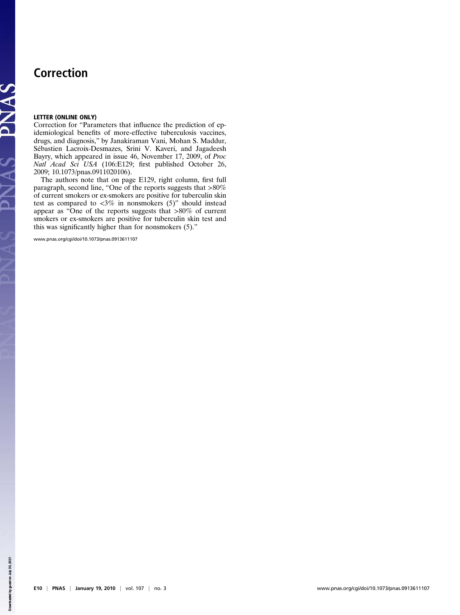# Correction

### LETTER (ONLINE ONLY)

PNAS PNAS

Correction for "Parameters that influence the prediction of epidemiological benefits of more-effective tuberculosis vaccines, drugs, and diagnosis," by Janakiraman Vani, Mohan S. Maddur, Sébastien Lacroix-Desmazes, Srini V. Kaveri, and Jagadeesh Bayry, which appeared in issue 46, November 17, 2009, of Proc Natl Acad Sci USA (106:E129; first published October 26, 2009; 10.1073/pnas.0911020106).

The authors note that on page E129, right column, first full paragraph, second line, "One of the reports suggests that >80% of current smokers or ex-smokers are positive for tuberculin skin test as compared to  $\langle 3\%$  in nonsmokers (5)" should instead appear as "One of the reports suggests that >80% of current smokers or ex-smokers are positive for tuberculin skin test and this was significantly higher than for nonsmokers (5)."

www.pnas.org/cgi/doi/10.1073/pnas.0913611107